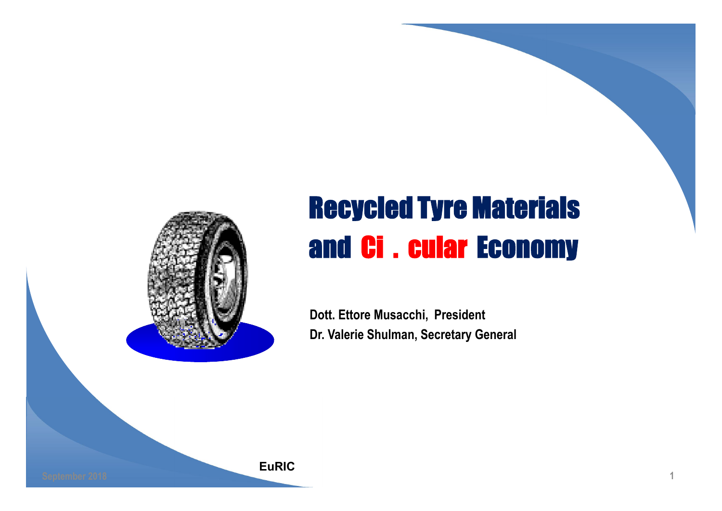

#### Recycled Tyre Materials and Ci . cular Economy

1

Dott. Ettore Musacchi, President Dr. Valerie Shulman, Secretary General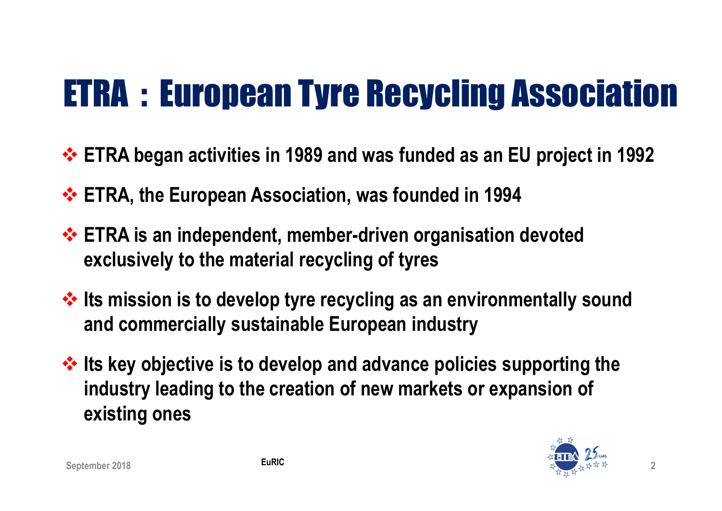## ETRA : European Tyre Recycling Association

- ETRA began activities in 1989 and was funded as an EU project in 1992
- **ETRA, the European Association, was founded in 1994**
- **ETRA is an independent, member-driven organisation devoted** exclusively to the material recycling of tyres
- $\cdot$  Its mission is to develop tyre recycling as an environmentally sound and commercially sustainable European industry
- $\cdot$  Its key objective is to develop and advance policies supporting the industry leading to the creation of new markets or expansion of existing ones

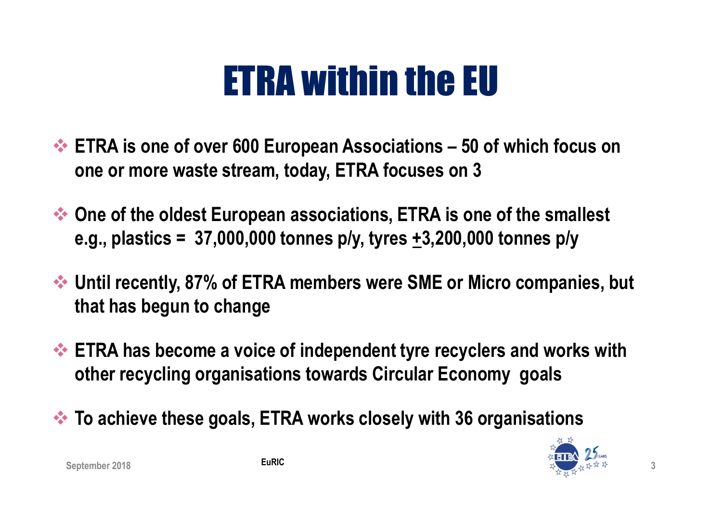## ETRA within the EU

- ◆ ETRA is one of over 600 European Associations 50 of which focus on one or more waste stream, today, ETRA focuses on 3
- One of the oldest European associations, ETRA is one of the smallest e.g., plastics =  $37,000,000$  tonnes p/y, tyres +3,200,000 tonnes p/y
- Until recently, 87% of ETRA members were SME or Micro companies, but that has begun to change
- **ETRA has become a voice of independent tyre recyclers and works with** other recycling organisations towards Circular Economy goals
- $\leftrightarrow$  To achieve these goals, ETRA works closely with 36 organisations

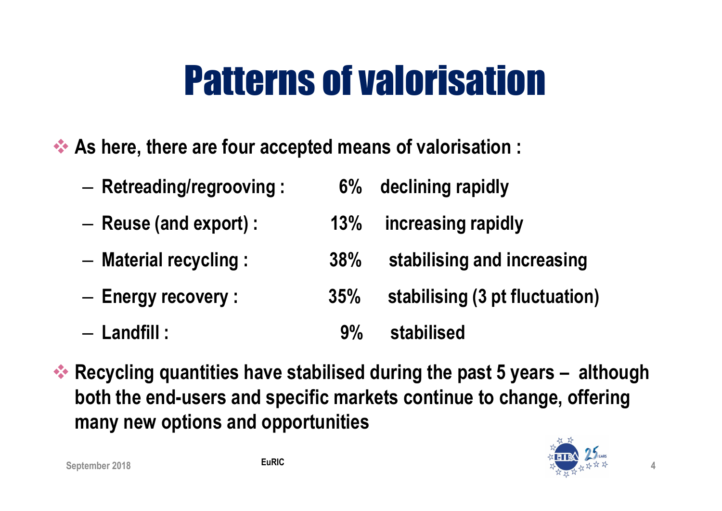## Patterns of valorisation

As here, there are four accepted means of valorisation :

- Retreading/regrooving : 6% declining rapidly – Reuse (and export) : 13% increasing rapidly – Material recycling : 38% stabilising and increasing – Energy recovery : 35% stabilising (3 pt fluctuation)
- Landfill : 9% stabilised
- $\leftrightarrow$  Recycling quantities have stabilised during the past 5 years although both the end-users and specific markets continue to change, offering many new options and opportunities

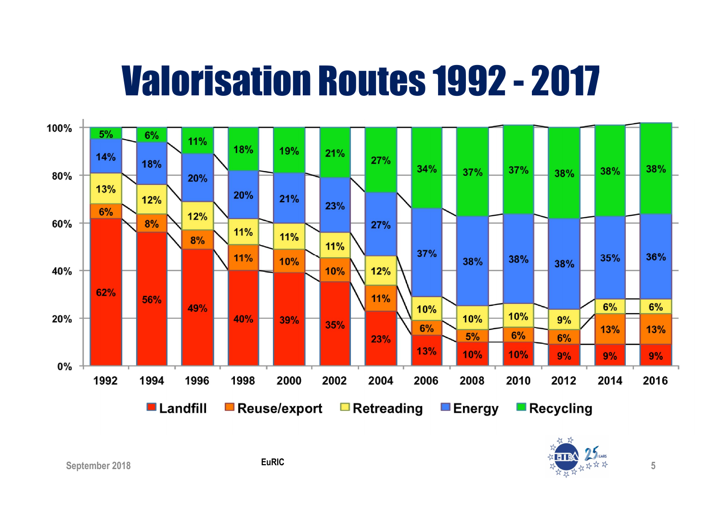## Valorisation Routes 1992 - 2017



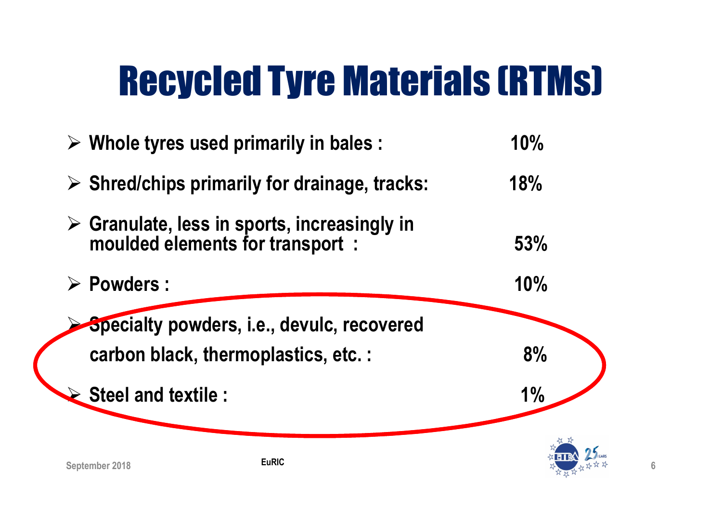## Recycled Tyre Materials (RTMs)

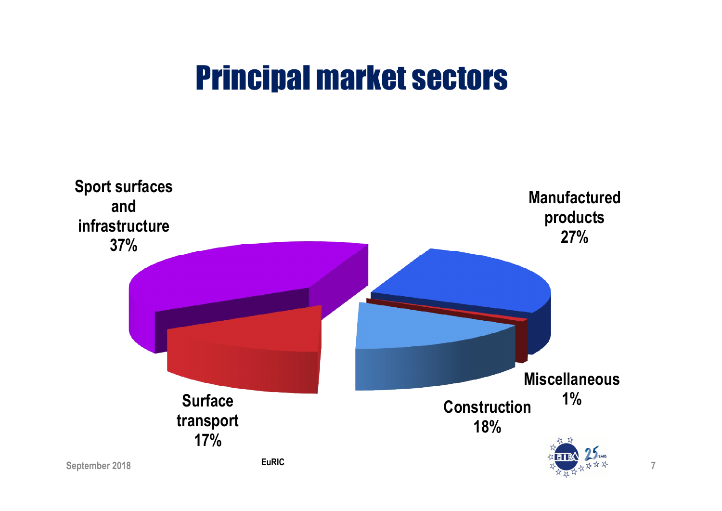#### Principal market sectors

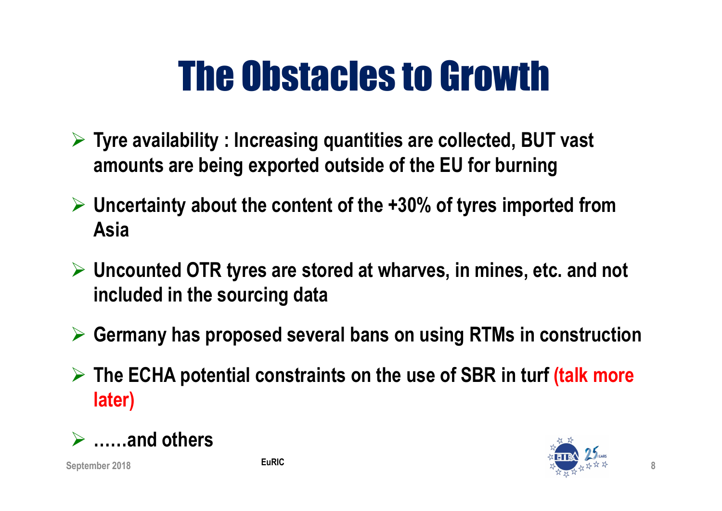# The Obstacles to Growth

- $\triangleright$  Tyre availability : Increasing quantities are collected, BUT vast amounts are being exported outside of the EU for burning
- $\triangleright$  Uncertainty about the content of the +30% of tyres imported from Asia
- $\triangleright$  Uncounted OTR tyres are stored at wharves, in mines, etc. and not included in the sourcing data
- $\triangleright$  Germany has proposed several bans on using RTMs in construction
- $\triangleright$  The ECHA potential constraints on the use of SBR in turf (talk more later)



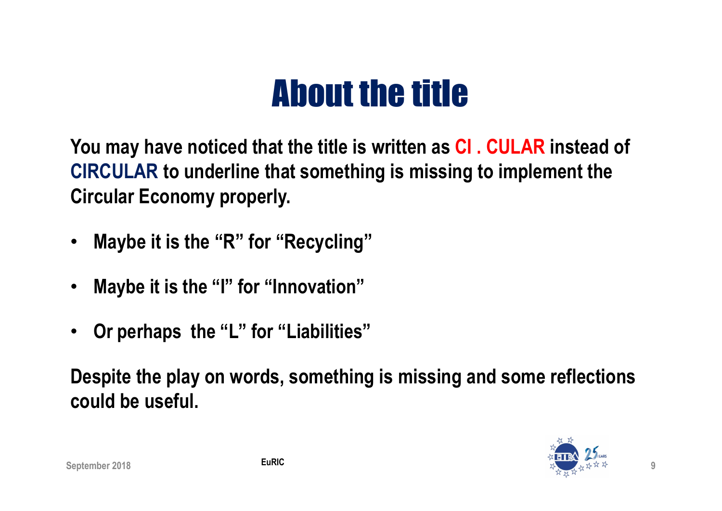#### About the title

You may have noticed that the title is written as CI . CULAR instead of CIRCULAR to underline that something is missing to implement the Circular Economy properly.

- Maybe it is the "R" for "Recycling"
- Maybe it is the "I" for "Innovation"
- Or perhaps the "L" for "Liabilities"

Despite the play on words, something is missing and some reflections could be useful.

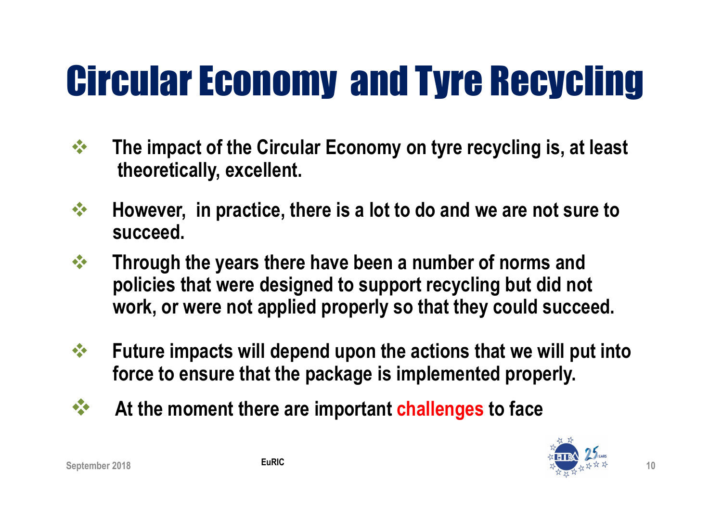# Circular Economy and Tyre Recycling

- $\mathbf{\hat{S}}$  The impact of the Circular Economy on tyre recycling is, at least theoretically, excellent.
- $\mathbf{\hat{P}}$  However, in practice, there is a lot to do and we are not sure to succeed.
- $\mathbf{\hat{P}}$  Through the years there have been a number of norms and policies that were designed to support recycling but did not work, or were not applied properly so that they could succeed.
- $\mathbf{\hat{P}}$  Future impacts will depend upon the actions that we will put into force to ensure that the package is implemented properly.
- $\mathbf{\hat{X}}$  At the moment there are important challenges to face

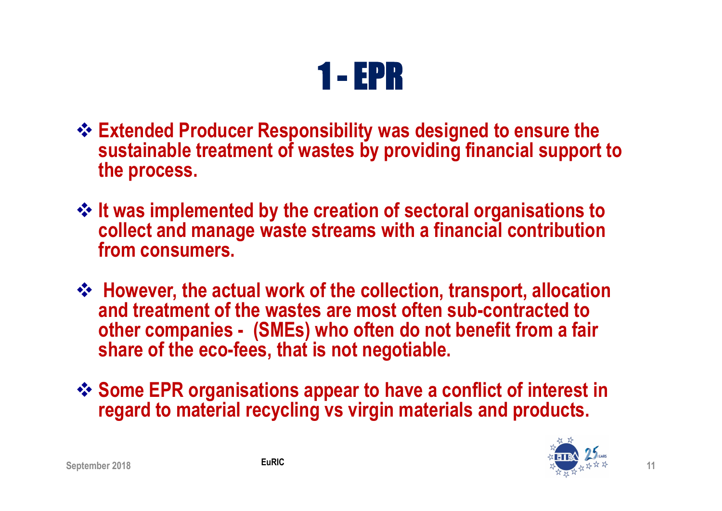

- ❖ Extended Producer Responsibility was designed to ensure the sustainable treatment of wastes by providing financial support to the process.
- $\div$  It was implemented by the creation of sectoral organisations to collect and manage waste streams with a financial contribution from consumers.
- However, the actual work of the collection, transport, allocation and treatment of the wastes are most often sub-contracted to other companies - (SMEs) who often do not benefit from a fair share of the eco-fees, that is not negotiable.
- Some EPR organisations appear to have a conflict of interest in regard to material recycling vs virgin materials and products.

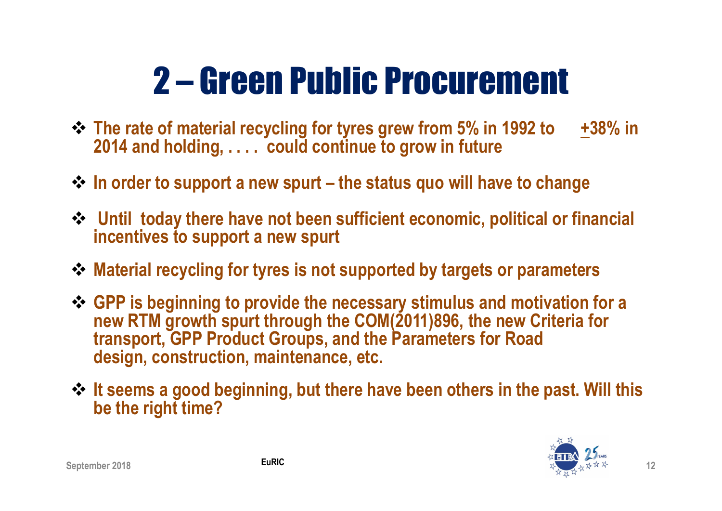## 2 – Green Public Procurement

- The rate of material recycling for tyres grew from 5% in 1992 to +38% in 2014 and holding, . . . . could continue to grow in future
- $\cdot$  In order to support a new spurt the status quo will have to change
- Until today there have not been sufficient economic, political or financial incentives to support a new spurt
- Material recycling for tyres is not supported by targets or parameters
- ❖ GPP is beginning to provide the necessary stimulus and motivation for a new RTM growth spurt through the COM(2011)896, the new Criteria for transport, GPP Product Groups, and the Parameters for Road design, construction, maintenance, etc.
- ☆ It seems a good beginning, but there have been others in the past. Will this be the right time?

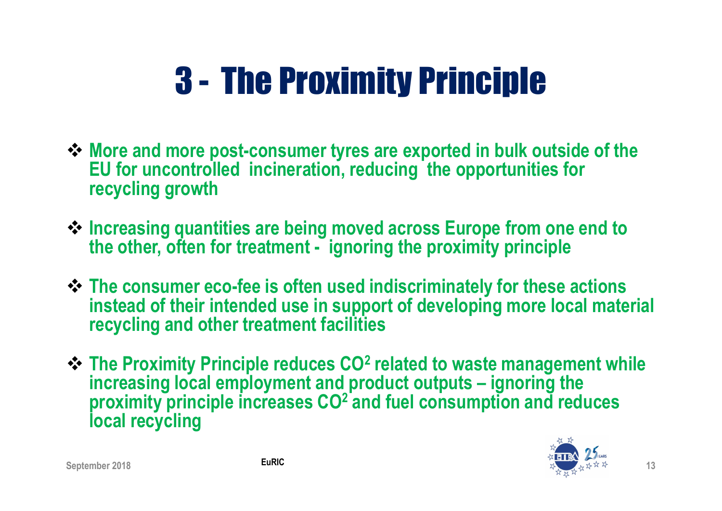## 3 - The Proximity Principle

- More and more post-consumer tyres are exported in bulk outside of the EU for uncontrolled incineration, reducing the opportunities for recycling growth
- $\triangle$  **Increasing quantities are being moved across Europe from one end to** the other, often for treatment - ignoring the proximity principle
- $\div$  **The consumer eco-fee is often used indiscriminately for these actions** instead of their intended use in support of developing more local material recycling and other treatment facilities
- $\div$  The Proximity Principle reduces CO<sup>2</sup> related to waste management while increasing local employment and product outputs – ignoring the proximity principle increases CO<sup>2</sup> and fuel consumption and reduces local recycling

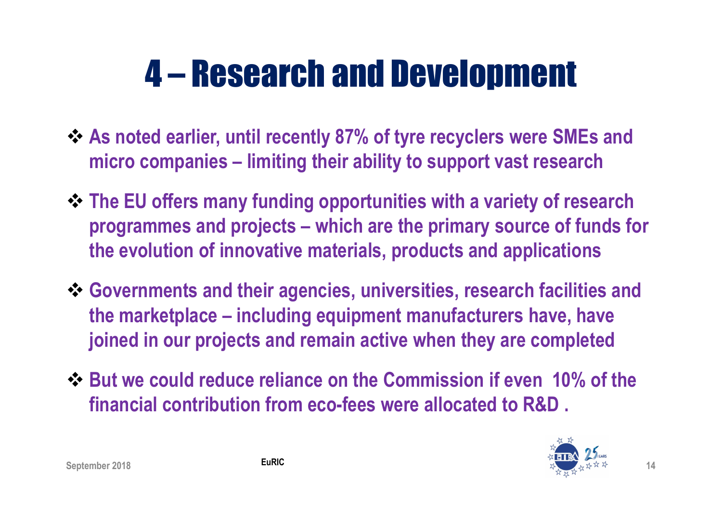#### 4 – Research and Development

- As noted earlier, until recently 87% of tyre recyclers were SMEs and micro companies – limiting their ability to support vast research
- The EU offers many funding opportunities with a variety of research programmes and projects – which are the primary source of funds for the evolution of innovative materials, products and applications
- Governments and their agencies, universities, research facilities and the marketplace – including equipment manufacturers have, have joined in our projects and remain active when they are completed
- But we could reduce reliance on the Commission if even 10% of the financial contribution from eco-fees were allocated to R&D .

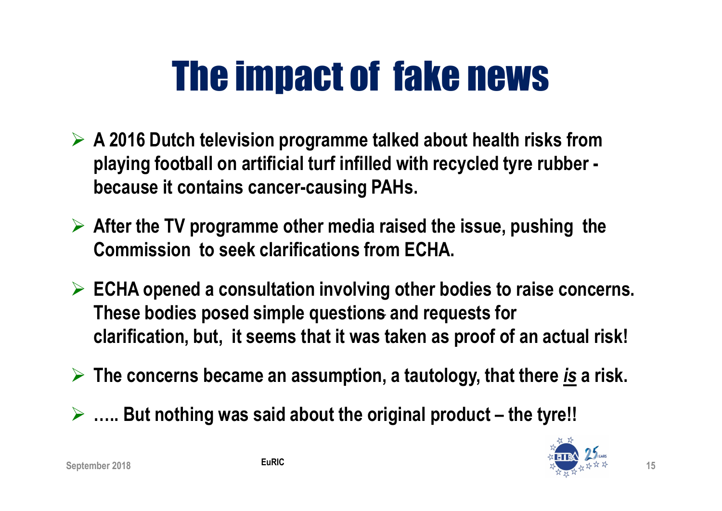# The impact of fake news

- $\triangleright$  A 2016 Dutch television programme talked about health risks from playing football on artificial turf infilled with recycled tyre rubber because it contains cancer-causing PAHs.
- $\triangleright$  After the TV programme other media raised the issue, pushing the Commission to seek clarifications from ECHA.
- $\triangleright$  ECHA opened a consultation involving other bodies to raise concerns. These bodies posed simple questions and requests for clarification, but, it seems that it was taken as proof of an actual risk!
- The concerns became an assumption, a tautology, that there *is* a risk.
- $\triangleright$  ..... But nothing was said about the original product the tyre!!

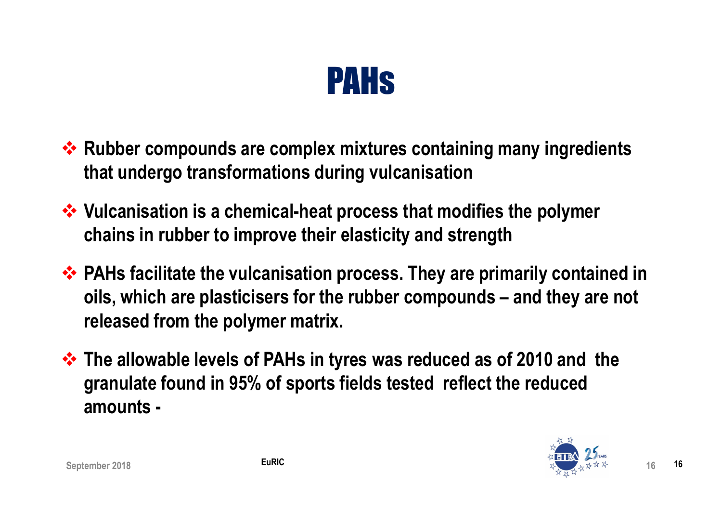

- Rubber compounds are complex mixtures containing many ingredients that undergo transformations during vulcanisation
- ❖ Vulcanisation is a chemical-heat process that modifies the polymer chains in rubber to improve their elasticity and strength
- ◆ PAHs facilitate the vulcanisation process. They are primarily contained in oils, which are plasticisers for the rubber compounds – and they are not released from the polymer matrix.
- **\*** The allowable levels of PAHs in tyres was reduced as of 2010 and the granulate found in 95% of sports fields tested reflect the reduced amounts -

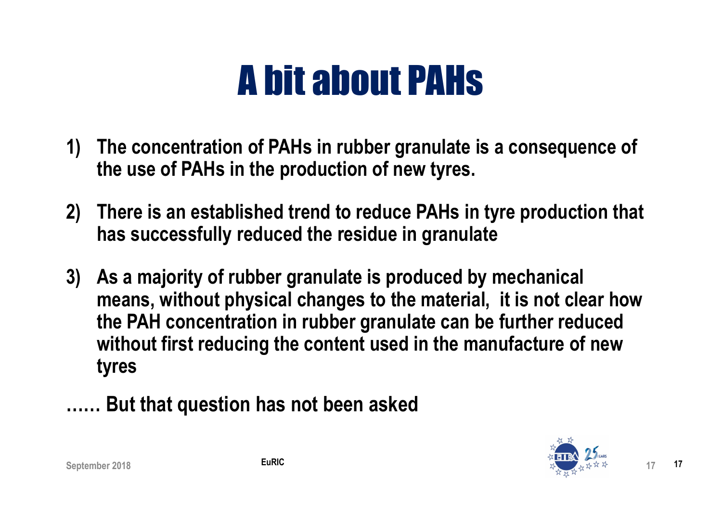## A bit about PAHs

- 1) The concentration of PAHs in rubber granulate is a consequence of the use of PAHs in the production of new tyres.
- 2) There is an established trend to reduce PAHs in tyre production that has successfully reduced the residue in granulate
- 3) As a majority of rubber granulate is produced by mechanical means, without physical changes to the material, it is not clear how the PAH concentration in rubber granulate can be further reduced without first reducing the content used in the manufacture of new tyres
- …… But that question has not been asked

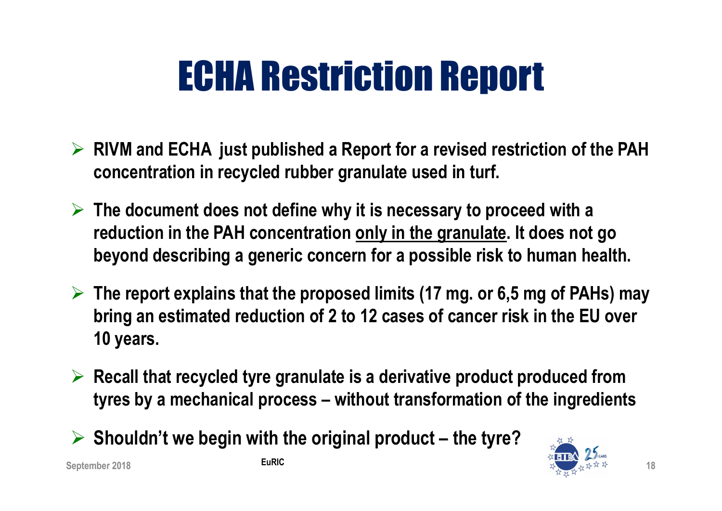## ECHA Restriction Report

- $\triangleright$  RIVM and ECHA just published a Report for a revised restriction of the PAH concentration in recycled rubber granulate used in turf.
- $\triangleright$  The document does not define why it is necessary to proceed with a reduction in the PAH concentration only in the granulate. It does not go beyond describing a generic concern for a possible risk to human health.
- $\triangleright$  The report explains that the proposed limits (17 mg. or 6,5 mg of PAHs) may bring an estimated reduction of 2 to 12 cases of cancer risk in the EU over 10 years.
- $\triangleright$  Recall that recycled tyre granulate is a derivative product produced from tyres by a mechanical process – without transformation of the ingredients
- $\triangleright$  Shouldn't we begin with the original product the tyre?

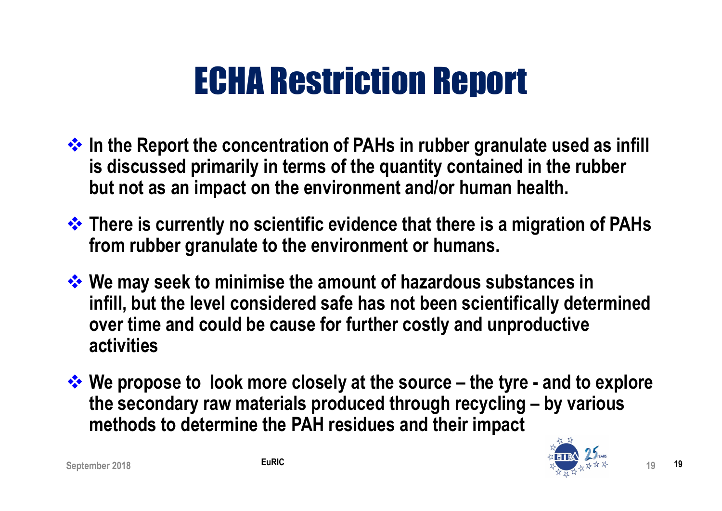#### ECHA Restriction Report

- $\cdot$  In the Report the concentration of PAHs in rubber granulate used as infill is discussed primarily in terms of the quantity contained in the rubber but not as an impact on the environment and/or human health.
- $\cdot$  There is currently no scientific evidence that there is a migration of PAHs from rubber granulate to the environment or humans.
- We may seek to minimise the amount of hazardous substances in infill, but the level considered safe has not been scientifically determined over time and could be cause for further costly and unproductive activities
- $\cdot \cdot$  We propose to look more closely at the source the tyre and to explore the secondary raw materials produced through recycling – by various methods to determine the PAH residues and their impact

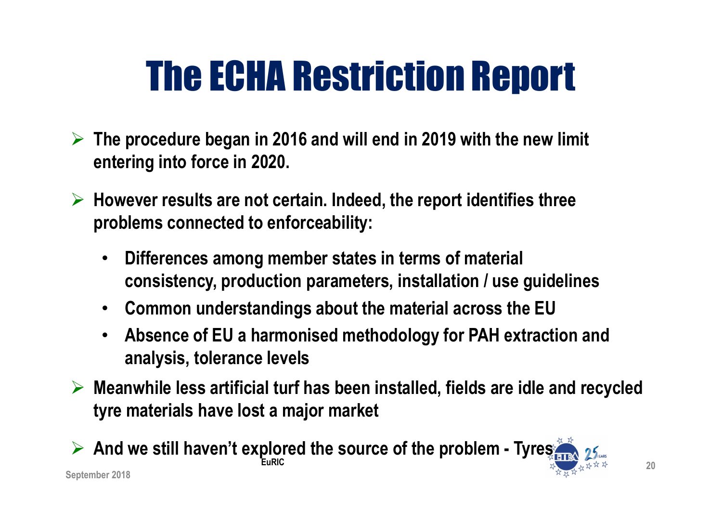# The ECHA Restriction Report

- $\triangleright$  The procedure began in 2016 and will end in 2019 with the new limit entering into force in 2020.
- $\triangleright$  However results are not certain. Indeed, the report identifies three problems connected to enforceability:
	- Differences among member states in terms of material consistency, production parameters, installation / use guidelines
	- Common understandings about the material across the EU
	- Absence of EU a harmonised methodology for PAH extraction and analysis, tolerance levels
- $\triangleright$  Meanwhile less artificial turf has been installed, fields are idle and recycled tyre materials have lost a major market

 $\triangleright$  And we still haven't explored the source of the problem - Tyres EuRIC 20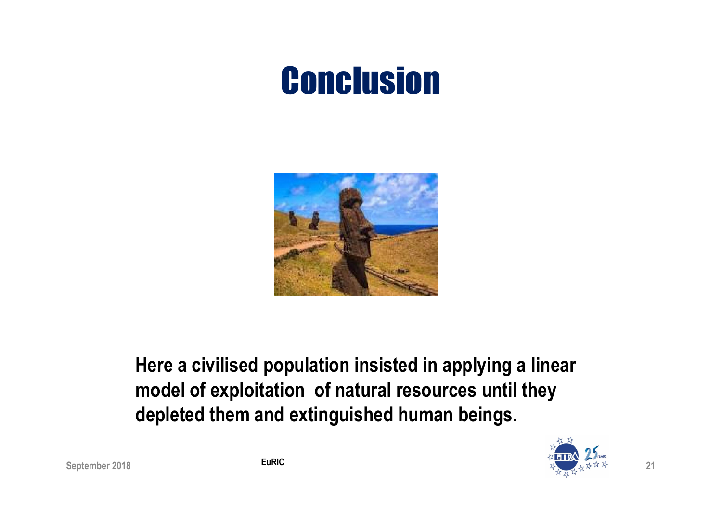#### **Conclusion**



#### Here a civilised population insisted in applying a linear model of exploitation of natural resources until they depleted them and extinguished human beings.

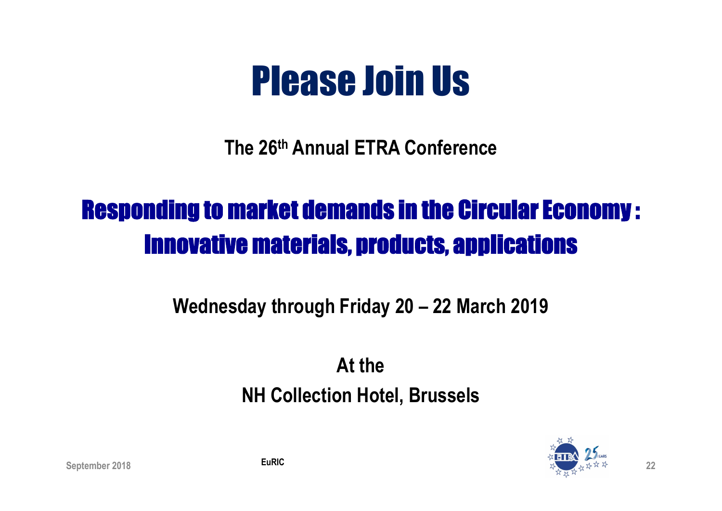## Please Join Us

The 26th Annual ETRA Conference

#### Responding to market demands in the Circular Economy : Innovative materials, products, applications

#### Wednesday through Friday 20 – 22 March 2019

At the NH Collection Hotel, Brussels